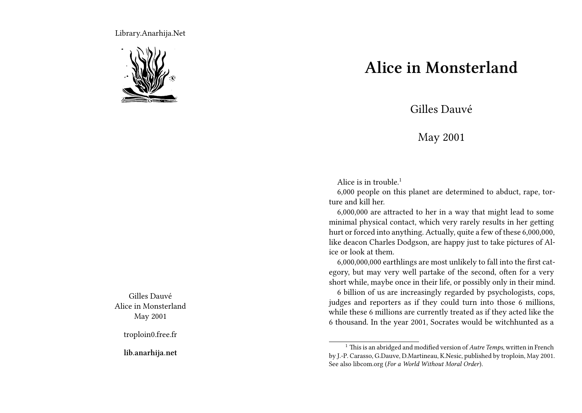Library.Anarhija.Net



Gilles Dauvé Alice in Monsterland May 2001

troploin0.free.fr

**lib.anarhija.net**

## **Alice in Monsterland**

Gilles Dauvé

May 2001

Alice is in trouble.<sup>1</sup>

6,000 people on this planet are determined to abduct, rape, torture and kill her.

6,000,000 are attracted to her in a way that might lead to some minimal physical contact, which very rarely results in her getting hurt or forced into anything. Actually, quite a few of these 6,000,000, like deacon Charles Dodgson, are happy just to take pictures of Alice or look at them.

6,000,000,000 earthlings are most unlikely to fall into the first category, but may very well partake of the second, often for a very short while, maybe once in their life, or possibly only in their mind.

6 billion of us are increasingly regarded by psychologists, cops, judges and reporters as if they could turn into those 6 millions, while these 6 millions are currently treated as if they acted like the 6 thousand. In the year 2001, Socrates would be witchhunted as a

<sup>1</sup> This is an abridged and modified version of *Autre Temps*, written in French by J.-P. Carasso, G.Dauve, D.Martineau, K.Nesic, published by troploin, May 2001. See also libcom.org (*For a World Without Moral Order*).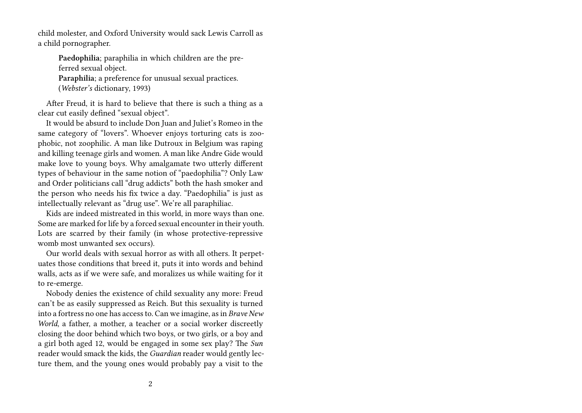child molester, and Oxford University would sack Lewis Carroll as a child pornographer.

**Paedophilia**; paraphilia in which children are the preferred sexual object.

Paraphilia; a preference for unusual sexual practices.

(*Webster's* dictionary, 1993)

After Freud, it is hard to believe that there is such a thing as a clear cut easily defined "sexual object".

It would be absurd to include Don Juan and Juliet's Romeo in the same category of "lovers". Whoever enjoys torturing cats is zoophobic, not zoophilic. A man like Dutroux in Belgium was raping and killing teenage girls and women. A man like Andre Gide would make love to young boys. Why amalgamate two utterly different types of behaviour in the same notion of "paedophilia"? Only Law and Order politicians call "drug addicts" both the hash smoker and the person who needs his fix twice a day. "Paedophilia" is just as intellectually relevant as "drug use". We're all paraphiliac.

Kids are indeed mistreated in this world, in more ways than one. Some are marked for life by a forced sexual encounter in their youth. Lots are scarred by their family (in whose protective-repressive womb most unwanted sex occurs).

Our world deals with sexual horror as with all others. It perpetuates those conditions that breed it, puts it into words and behind walls, acts as if we were safe, and moralizes us while waiting for it to re-emerge.

Nobody denies the existence of child sexuality any more: Freud can't be as easily suppressed as Reich. But this sexuality is turned into a fortress no one has access to. Can we imagine, as in *Brave New World*, a father, a mother, a teacher or a social worker discreetly closing the door behind which two boys, or two girls, or a boy and a girl both aged 12, would be engaged in some sex play? The *Sun* reader would smack the kids, the *Guardian* reader would gently lecture them, and the young ones would probably pay a visit to the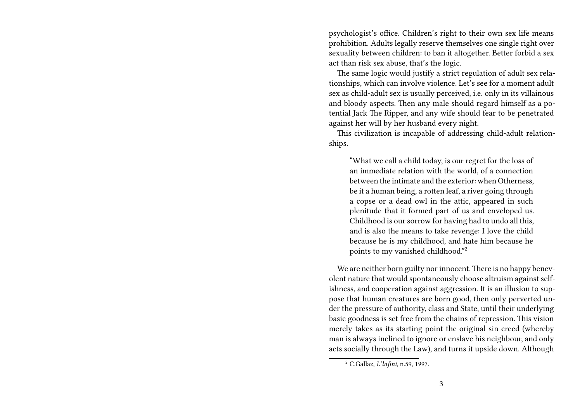psychologist's office. Children's right to their own sex life means prohibition. Adults legally reserve themselves one single right over sexuality between children: to ban it altogether. Better forbid a sex act than risk sex abuse, that's the logic.

The same logic would justify a strict regulation of adult sex relationships, which can involve violence. Let's see for a moment adult sex as child-adult sex is usually perceived, i.e. only in its villainous and bloody aspects. Then any male should regard himself as a potential Jack The Ripper, and any wife should fear to be penetrated against her will by her husband every night.

This civilization is incapable of addressing child-adult relationships.

"What we call a child today, is our regret for the loss of an immediate relation with the world, of a connection between the intimate and the exterior: when Otherness, be it a human being, a rotten leaf, a river going through a copse or a dead owl in the attic, appeared in such plenitude that it formed part of us and enveloped us. Childhood is our sorrow for having had to undo all this, and is also the means to take revenge: I love the child because he is my childhood, and hate him because he points to my vanished childhood."<sup>2</sup>

We are neither born guilty nor innocent. There is no happy benevolent nature that would spontaneously choose altruism against selfishness, and cooperation against aggression. It is an illusion to suppose that human creatures are born good, then only perverted under the pressure of authority, class and State, until their underlying basic goodness is set free from the chains of repression. This vision merely takes as its starting point the original sin creed (whereby man is always inclined to ignore or enslave his neighbour, and only acts socially through the Law), and turns it upside down. Although

<sup>2</sup> C.Gallaz, *L'lnfini*, n.59, 1997.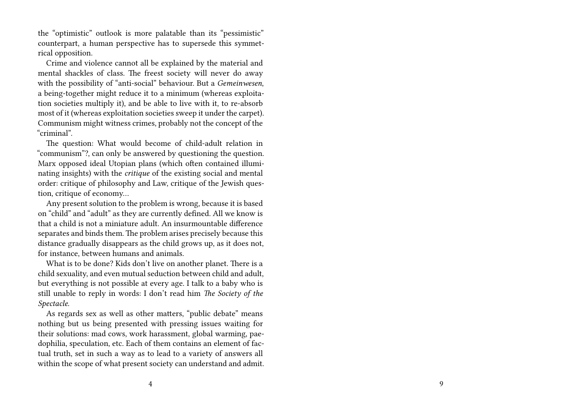the "optimistic" outlook is more palatable than its "pessimistic" counterpart, a human perspective has to supersede this symmetrical opposition.

Crime and violence cannot all be explained by the material and mental shackles of class. The freest society will never do away with the possibility of "anti-social" behaviour. But a *Gemeinwesen*, a being-together might reduce it to a minimum (whereas exploitation societies multiply it), and be able to live with it, to re-absorb most of it (whereas exploitation societies sweep it under the carpet). Communism might witness crimes, probably not the concept of the "criminal".

The question: What would become of child-adult relation in "communism"?, can only be answered by questioning the question. Marx opposed ideal Utopian plans (which often contained illuminating insights) with the *critique* of the existing social and mental order: critique of philosophy and Law, critique of the Jewish question, critique of economy…

Any present solution to the problem is wrong, because it is based on "child" and "adult" as they are currently defined. All we know is that a child is not a miniature adult. An insurmountable difference separates and binds them. The problem arises precisely because this distance gradually disappears as the child grows up, as it does not, for instance, between humans and animals.

What is to be done? Kids don't live on another planet. There is a child sexuality, and even mutual seduction between child and adult, but everything is not possible at every age. I talk to a baby who is still unable to reply in words: I don't read him *The Society of the Spectacle*.

As regards sex as well as other matters, "public debate" means nothing but us being presented with pressing issues waiting for their solutions: mad cows, work harassment, global warming, paedophilia, speculation, etc. Each of them contains an element of factual truth, set in such a way as to lead to a variety of answers all within the scope of what present society can understand and admit.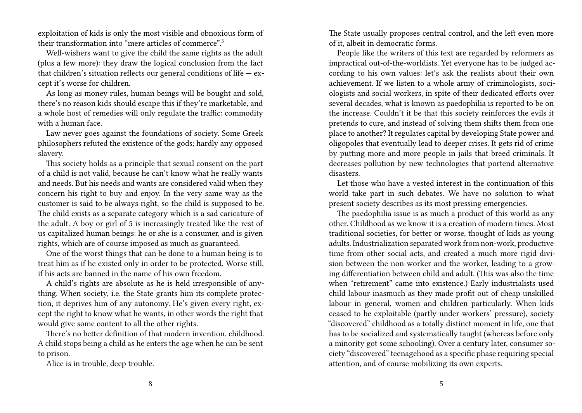exploitation of kids is only the most visible and obnoxious form of their transformation into "mere articles of commerce".<sup>3</sup>

Well-wishers want to give the child the same rights as the adult (plus a few more): they draw the logical conclusion from the fact that children's situation reflects our general conditions of life  $-$  except it's worse for children.

As long as money rules, human beings will be bought and sold, there's no reason kids should escape this if they're marketable, and a whole host of remedies will only regulate the traffic: commodity with a human face.

Law never goes against the foundations of society. Some Greek philosophers refuted the existence of the gods; hardly any opposed slavery.

This society holds as a principle that sexual consent on the part of a child is not valid, because he can't know what he really wants and needs. But his needs and wants are considered valid when they concern his right to buy and enjoy. In the very same way as the customer is said to be always right, so the child is supposed to be. The child exists as a separate category which is a sad caricature of the adult. A boy or girl of 5 is increasingly treated like the rest of us capitalized human beings: he or she is a consumer, and is given rights, which are of course imposed as much as guaranteed.

One of the worst things that can be done to a human being is to treat him as if he existed only in order to be protected. Worse still, if his acts are banned in the name of his own freedom.

A child's rights are absolute as he is held irresponsible of anything. When society, i.e. the State grants him its complete protection, it deprives him of any autonomy. He's given every right, except the right to know what he wants, in other words the right that would give some content to all the other rights.

There's no better definition of that modern invention, childhood. A child stops being a child as he enters the age when he can be sent to prison.

Alice is in trouble, deep trouble.

The State usually proposes central control, and the left even more of it, albeit in democratic forms.

People like the writers of this text are regarded by reformers as impractical out-of-the-worldists. Yet everyone has to be judged according to his own values: let's ask the realists about their own achievement. If we listen to a whole army of criminologists, sociologists and social workers, in spite of their dedicated efforts over several decades, what is known as paedophilia is reported to be on the increase. Couldn't it be that this society reinforces the evils it pretends to cure, and instead of solving them shifts them from one place to another? It regulates capital by developing State power and oligopoles that eventually lead to deeper crises. It gets rid of crime by putting more and more people in jails that breed criminals. It decreases pollution by new technologies that portend alternative disasters.

Let those who have a vested interest in the continuation of this world take part in such debates. We have no solution to what present society describes as its most pressing emergencies.

The paedophilia issue is as much a product of this world as any other. Childhood as we know it is a creation of modern times. Most traditional societies, for better or worse, thought of kids as young adults. Industrialization separated work from non-work, productive time from other social acts, and created a much more rigid division between the non-worker and the worker, leading to a growing differentiation between child and adult. (This was also the time when "retirement" came into existence.) Early industrialists used child labour inasmuch as they made profit out of cheap unskilled labour in general, women and children particularly. When kids ceased to be exploitable (partly under workers' pressure), society "discovered" childhood as a totally distinct moment in life, one that has to be socialized and systematically taught (whereas before only a minority got some schooling). Over a century later, consumer society "discovered" teenagehood as a specific phase requiring special attention, and of course mobilizing its own experts.